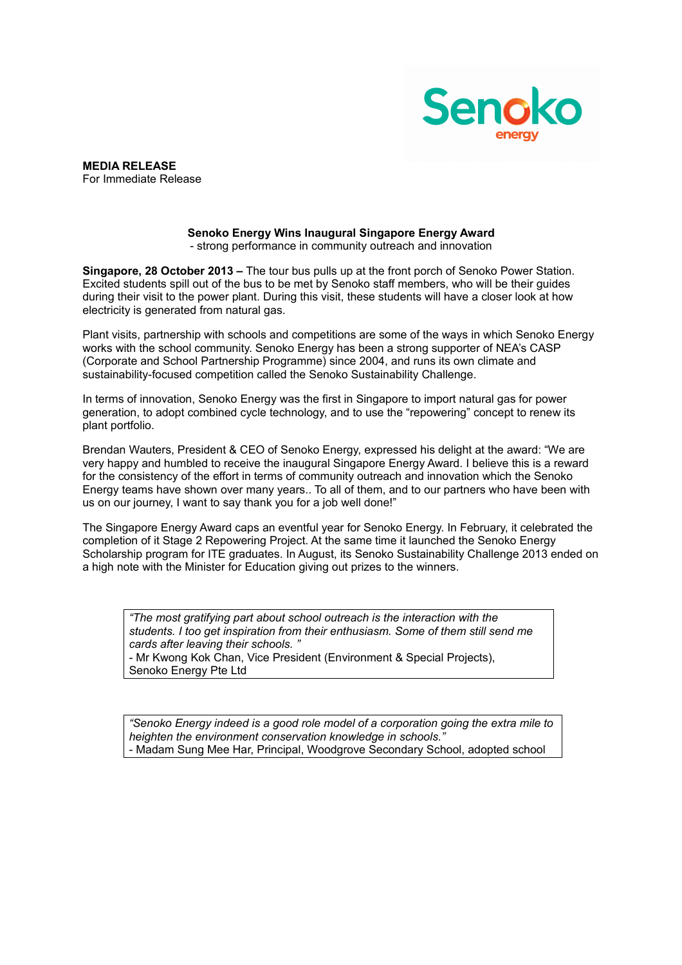

**MEDIA RELEASE** For Immediate Release

## **Senoko Energy Wins Inaugural Singapore Energy Award** - strong performance in community outreach and innovation

**Singapore, 28 October 2013 –** The tour bus pulls up at the front porch of Senoko Power Station. Excited students spill out of the bus to be met by Senoko staff members, who will be their guides during their visit to the power plant. During this visit, these students will have a closer look at how electricity is generated from natural gas.

Plant visits, partnership with schools and competitions are some of the ways in which Senoko Energy works with the school community. Senoko Energy has been a strong supporter of NEA's CASP (Corporate and School Partnership Programme) since 2004, and runs its own climate and sustainability-focused competition called the Senoko Sustainability Challenge.

In terms of innovation, Senoko Energy was the first in Singapore to import natural gas for power generation, to adopt combined cycle technology, and to use the "repowering" concept to renew its plant portfolio.

Brendan Wauters, President & CEO of Senoko Energy, expressed his delight at the award: "We are very happy and humbled to receive the inaugural Singapore Energy Award. I believe this is a reward for the consistency of the effort in terms of community outreach and innovation which the Senoko Energy teams have shown over many years.. To all of them, and to our partners who have been with us on our journey, I want to say thank you for a job well done!"

The Singapore Energy Award caps an eventful year for Senoko Energy. In February, it celebrated the completion of it Stage 2 Repowering Project. At the same time it launched the Senoko Energy Scholarship program for ITE graduates. In August, its Senoko Sustainability Challenge 2013 ended on a high note with the Minister for Education giving out prizes to the winners.

*"The most gratifying part about school outreach is the interaction with the students. I too get inspiration from their enthusiasm. Some of them still send me cards after leaving their schools. "* - Mr Kwong Kok Chan, Vice President (Environment & Special Projects),

Senoko Energy Pte Ltd

*"Senoko Energy indeed is a good role model of a corporation going the extra mile to heighten the environment conservation knowledge in schools."* - Madam Sung Mee Har, Principal, Woodgrove Secondary School, adopted school